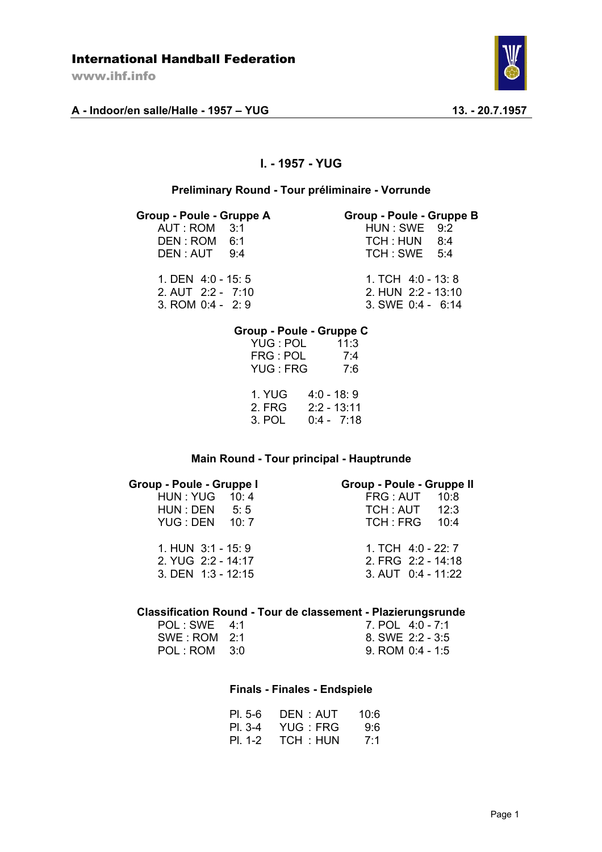www.ihf.info





# **I. - 1957 - YUG**

### **Preliminary Round - Tour préliminaire - Vorrunde**

#### **Group - Poule - Gruppe A Group - Poule - Gruppe B**

 $AUT : ROM 3:1$ 

| Group - Poule - Gruppe |  |
|------------------------|--|
| HUN : SWE 9:2          |  |

| DEN: ROM 6:1 | TCH : HUN 8:4 |  |
|--------------|---------------|--|
| DEN: AUT 9:4 | TCH : SWE 5:4 |  |
|              |               |  |

1. DEN 4:0 - 15: 5 1. TCH 4:0 - 13: 8<br>2. AUT 2:2 - 7:10 2. HUN 2:2 - 13:10 2. AUT 2:2 - 7:10<br>3. ROM 0:4 - 2: 9 3. SWE 0:4 - 6:14

### **Group - Poule - Gruppe C**

| YUG : POL<br>FRG: POL<br><b>YUG: FRG</b> | 11:3<br>7:4<br>7:6                          |
|------------------------------------------|---------------------------------------------|
| 1. YUG<br>2. FRG<br>3. POL               | 4:0 - 18:9<br>$2:2 - 13:11$<br>$0:4 - 7:18$ |

### **Main Round - Tour principal - Hauptrunde**

## **Group - Poule - Gruppe I Group - Poule - Gruppe II**

| <b>UIUUU - LUUIG - QIUUNG I</b> | <b>Provis</b> - Provis - Provis |
|---------------------------------|---------------------------------|
| HUN: YUG 10: 4                  | FRG: AUT 10:8                   |
| HUN : DEN 5: 5                  | TCH: AUT 12:3                   |
| <b>YUG: DEN 10: 7</b>           | <b>TCH: FRG 10:4</b>            |
| 1. HUN $3:1 - 15:9$             | 1. TCH 4:0 - 22: 7              |
| 2. YUG 2:2 - 14:17              | 2. FRG 2:2 - 14:18              |
| $3.$ DEN $1:3 - 12:15$          | $3.$ AUT $0:4 - 11:22$          |

#### **Classification Round - Tour de classement - Plazierungsrunde**

| POL:SWE 4:1  | 7. POL 4:0 - 7:1   |
|--------------|--------------------|
| SWE: ROM 2:1 | 8. SWE 2:2 - 3:5   |
| POL: ROM 3:0 | $9.$ ROM 0:4 - 1:5 |

#### **Finals - Finales - Endspiele**

| PI.5-6 DEN: AUT 10:6  |  |
|-----------------------|--|
| PL 3-4 YUG : FRG 9:6  |  |
| PI. 1-2 TCH : HUN 7:1 |  |